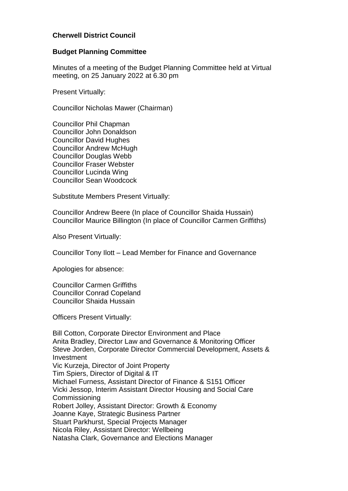# **Cherwell District Council**

### **Budget Planning Committee**

Minutes of a meeting of the Budget Planning Committee held at Virtual meeting, on 25 January 2022 at 6.30 pm

Present Virtually:

Councillor Nicholas Mawer (Chairman)

Councillor Phil Chapman Councillor John Donaldson Councillor David Hughes Councillor Andrew McHugh Councillor Douglas Webb Councillor Fraser Webster Councillor Lucinda Wing Councillor Sean Woodcock

Substitute Members Present Virtually:

Councillor Andrew Beere (In place of Councillor Shaida Hussain) Councillor Maurice Billington (In place of Councillor Carmen Griffiths)

Also Present Virtually:

Councillor Tony Ilott – Lead Member for Finance and Governance

Apologies for absence:

Councillor Carmen Griffiths Councillor Conrad Copeland Councillor Shaida Hussain

Officers Present Virtually:

Bill Cotton, Corporate Director Environment and Place Anita Bradley, Director Law and Governance & Monitoring Officer Steve Jorden, Corporate Director Commercial Development, Assets & Investment Vic Kurzeja, Director of Joint Property Tim Spiers, Director of Digital & IT Michael Furness, Assistant Director of Finance & S151 Officer Vicki Jessop, Interim Assistant Director Housing and Social Care Commissioning Robert Jolley, Assistant Director: Growth & Economy Joanne Kaye, Strategic Business Partner Stuart Parkhurst, Special Projects Manager Nicola Riley, Assistant Director: Wellbeing Natasha Clark, Governance and Elections Manager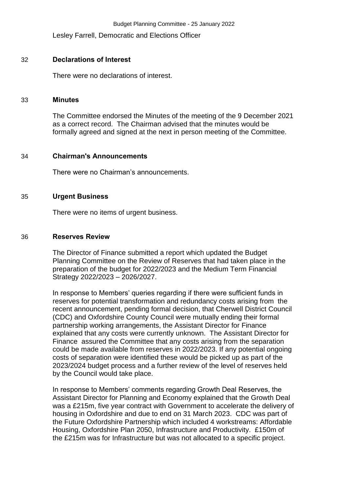Lesley Farrell, Democratic and Elections Officer

# 32 **Declarations of Interest**

There were no declarations of interest.

#### 33 **Minutes**

The Committee endorsed the Minutes of the meeting of the 9 December 2021 as a correct record. The Chairman advised that the minutes would be formally agreed and signed at the next in person meeting of the Committee.

## 34 **Chairman's Announcements**

There were no Chairman's announcements.

## 35 **Urgent Business**

There were no items of urgent business.

### 36 **Reserves Review**

The Director of Finance submitted a report which updated the Budget Planning Committee on the Review of Reserves that had taken place in the preparation of the budget for 2022/2023 and the Medium Term Financial Strategy 2022/2023 – 2026/2027.

In response to Members' queries regarding if there were sufficient funds in reserves for potential transformation and redundancy costs arising from the recent announcement, pending formal decision, that Cherwell District Council (CDC) and Oxfordshire County Council were mutually ending their formal partnership working arrangements, the Assistant Director for Finance explained that any costs were currently unknown. The Assistant Director for Finance assured the Committee that any costs arising from the separation could be made available from reserves in 2022/2023. If any potential ongoing costs of separation were identified these would be picked up as part of the 2023/2024 budget process and a further review of the level of reserves held by the Council would take place.

In response to Members' comments regarding Growth Deal Reserves, the Assistant Director for Planning and Economy explained that the Growth Deal was a £215m, five year contract with Government to accelerate the delivery of housing in Oxfordshire and due to end on 31 March 2023. CDC was part of the Future Oxfordshire Partnership which included 4 workstreams: Affordable Housing, Oxfordshire Plan 2050, Infrastructure and Productivity. £150m of the £215m was for Infrastructure but was not allocated to a specific project.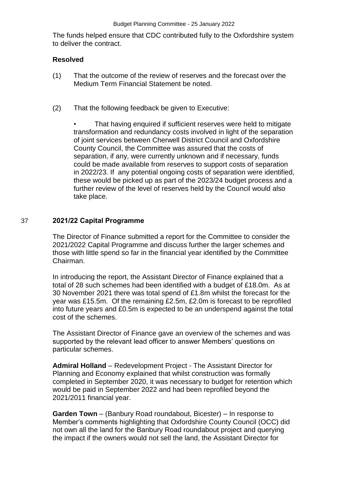The funds helped ensure that CDC contributed fully to the Oxfordshire system to deliver the contract.

# **Resolved**

- (1) That the outcome of the review of reserves and the forecast over the Medium Term Financial Statement be noted.
- (2) That the following feedback be given to Executive:

That having enquired if sufficient reserves were held to mitigate transformation and redundancy costs involved in light of the separation of joint services between Cherwell District Council and Oxfordshire County Council, the Committee was assured that the costs of separation, if any, were currently unknown and if necessary, funds could be made available from reserves to support costs of separation in 2022/23. If any potential ongoing costs of separation were identified, these would be picked up as part of the 2023/24 budget process and a further review of the level of reserves held by the Council would also take place.

# 37 **2021/22 Capital Programme**

The Director of Finance submitted a report for the Committee to consider the 2021/2022 Capital Programme and discuss further the larger schemes and those with little spend so far in the financial year identified by the Committee Chairman.

In introducing the report, the Assistant Director of Finance explained that a total of 28 such schemes had been identified with a budget of £18.0m. As at 30 November 2021 there was total spend of £1.8m whilst the forecast for the year was £15.5m. Of the remaining £2.5m, £2.0m is forecast to be reprofiled into future years and £0.5m is expected to be an underspend against the total cost of the schemes.

The Assistant Director of Finance gave an overview of the schemes and was supported by the relevant lead officer to answer Members' questions on particular schemes.

**Admiral Holland** – Redevelopment Project - The Assistant Director for Planning and Economy explained that whilst construction was formally completed in September 2020, it was necessary to budget for retention which would be paid in September 2022 and had been reprofiled beyond the 2021/2011 financial year.

**Garden Town** – (Banbury Road roundabout, Bicester) – In response to Member's comments highlighting that Oxfordshire County Council (OCC) did not own all the land for the Banbury Road roundabout project and querying the impact if the owners would not sell the land, the Assistant Director for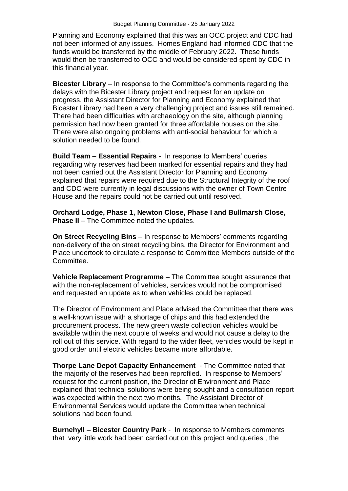Planning and Economy explained that this was an OCC project and CDC had not been informed of any issues. Homes England had informed CDC that the funds would be transferred by the middle of February 2022. These funds would then be transferred to OCC and would be considered spent by CDC in this financial year.

**Bicester Library** – In response to the Committee's comments regarding the delays with the Bicester Library project and request for an update on progress, the Assistant Director for Planning and Economy explained that Bicester Library had been a very challenging project and issues still remained. There had been difficulties with archaeology on the site, although planning permission had now been granted for three affordable houses on the site. There were also ongoing problems with anti-social behaviour for which a solution needed to be found.

**Build Team – Essential Repairs** - In response to Members' queries regarding why reserves had been marked for essential repairs and they had not been carried out the Assistant Director for Planning and Economy explained that repairs were required due to the Structural Integrity of the roof and CDC were currently in legal discussions with the owner of Town Centre House and the repairs could not be carried out until resolved.

**Orchard Lodge, Phase 1, Newton Close, Phase I and Bullmarsh Close, Phase II** – The Committee noted the updates.

**On Street Recycling Bins** – In response to Members' comments regarding non-delivery of the on street recycling bins, the Director for Environment and Place undertook to circulate a response to Committee Members outside of the Committee.

**Vehicle Replacement Programme** – The Committee sought assurance that with the non-replacement of vehicles, services would not be compromised and requested an update as to when vehicles could be replaced.

The Director of Environment and Place advised the Committee that there was a well-known issue with a shortage of chips and this had extended the procurement process. The new green waste collection vehicles would be available within the next couple of weeks and would not cause a delay to the roll out of this service. With regard to the wider fleet, vehicles would be kept in good order until electric vehicles became more affordable.

**Thorpe Lane Depot Capacity Enhancement** - The Committee noted that the majority of the reserves had been reprofiled. In response to Members' request for the current position, the Director of Environment and Place explained that technical solutions were being sought and a consultation report was expected within the next two months. The Assistant Director of Environmental Services would update the Committee when technical solutions had been found.

**Burnehyll – Bicester Country Park** - In response to Members comments that very little work had been carried out on this project and queries , the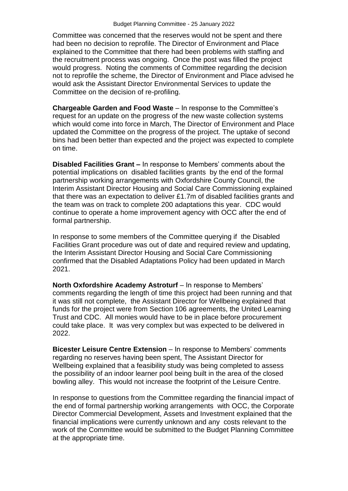Committee was concerned that the reserves would not be spent and there had been no decision to reprofile. The Director of Environment and Place explained to the Committee that there had been problems with staffing and the recruitment process was ongoing. Once the post was filled the project would progress. Noting the comments of Committee regarding the decision not to reprofile the scheme, the Director of Environment and Place advised he would ask the Assistant Director Environmental Services to update the Committee on the decision of re-profiling.

**Chargeable Garden and Food Waste** – In response to the Committee's request for an update on the progress of the new waste collection systems which would come into force in March, The Director of Environment and Place updated the Committee on the progress of the project. The uptake of second bins had been better than expected and the project was expected to complete on time.

**Disabled Facilities Grant –** In response to Members' comments about the potential implications on disabled facilities grants by the end of the formal partnership working arrangements with Oxfordshire County Council, the Interim Assistant Director Housing and Social Care Commissioning explained that there was an expectation to deliver £1.7m of disabled facilities grants and the team was on track to complete 200 adaptations this year. CDC would continue to operate a home improvement agency with OCC after the end of formal partnership.

In response to some members of the Committee querying if the Disabled Facilities Grant procedure was out of date and required review and updating, the Interim Assistant Director Housing and Social Care Commissioning confirmed that the Disabled Adaptations Policy had been updated in March 2021.

**North Oxfordshire Academy Astroturf** – In response to Members' comments regarding the length of time this project had been running and that it was still not complete, the Assistant Director for Wellbeing explained that funds for the project were from Section 106 agreements, the United Learning Trust and CDC. All monies would have to be in place before procurement could take place. It was very complex but was expected to be delivered in 2022.

**Bicester Leisure Centre Extension** – In response to Members' comments regarding no reserves having been spent, The Assistant Director for Wellbeing explained that a feasibility study was being completed to assess the possibility of an indoor learner pool being built in the area of the closed bowling alley. This would not increase the footprint of the Leisure Centre.

In response to questions from the Committee regarding the financial impact of the end of formal partnership working arrangements with OCC, the Corporate Director Commercial Development, Assets and Investment explained that the financial implications were currently unknown and any costs relevant to the work of the Committee would be submitted to the Budget Planning Committee at the appropriate time.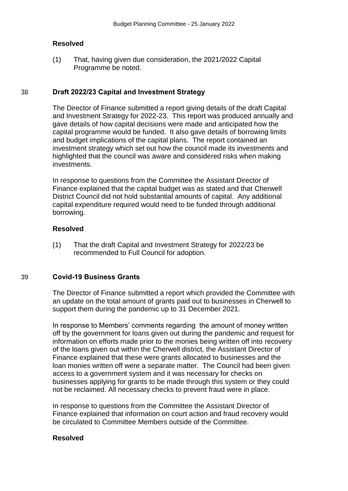### **Resolved**

(1) That, having given due consideration, the 2021/2022 Capital Programme be noted.

### 38 **Draft 2022/23 Capital and Investment Strategy**

The Director of Finance submitted a report giving details of the draft Capital and Investment Strategy for 2022-23. This report was produced annually and gave details of how capital decisions were made and anticipated how the capital programme would be funded. It also gave details of borrowing limits and budget implications of the capital plans. The report contained an investment strategy which set out how the council made its investments and highlighted that the council was aware and considered risks when making investments.

In response to questions from the Committee the Assistant Director of Finance explained that the capital budget was as stated and that Cherwell District Council did not hold substantial amounts of capital. Any additional capital expenditure required would need to be funded through additional borrowing.

### **Resolved**

(1) That the draft Capital and Investment Strategy for 2022/23 be recommended to Full Council for adoption.

### 39 **Covid-19 Business Grants**

The Director of Finance submitted a report which provided the Committee with an update on the total amount of grants paid out to businesses in Cherwell to support them during the pandemic up to 31 December 2021.

In response to Members' comments regarding the amount of money written off by the government for loans given out during the pandemic and request for information on efforts made prior to the monies being written off into recovery of the loans given out within the Cherwell district, the Assistant Director of Finance explained that these were grants allocated to businesses and the loan monies written off were a separate matter. The Council had been given access to a government system and it was necessary for checks on businesses applying for grants to be made through this system or they could not be reclaimed. All necessary checks to prevent fraud were in place.

In response to questions from the Committee the Assistant Director of Finance explained that information on court action and fraud recovery would be circulated to Committee Members outside of the Committee.

### **Resolved**